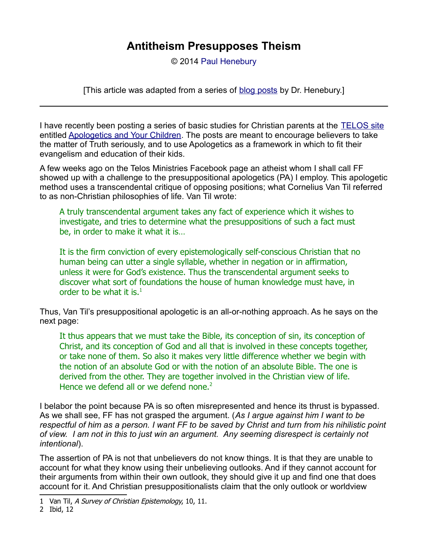© 2014 [Paul Henebury](http://www.spiritandtruth.org/id/ph.htm)

[This article was adapted from a series of [blog posts](http://drreluctant.wordpress.com/2013/09/29/antitheism-presupposes-theism-1/) by Dr. Henebury.]

I have recently been posting a series of basic studies for Christian parents at the [TELOS site](http://www.telosministries.com/) entitled [Apologetics and Your Children.](http://www.telosministries.com/apologetics-and-your-children-1-the-power-of-negative-thinking/) The posts are meant to encourage believers to take the matter of Truth seriously, and to use Apologetics as a framework in which to fit their evangelism and education of their kids.

A few weeks ago on the Telos Ministries Facebook page an atheist whom I shall call FF showed up with a challenge to the presuppositional apologetics (PA) I employ. This apologetic method uses a transcendental critique of opposing positions; what Cornelius Van Til referred to as non-Christian philosophies of life. Van Til wrote:

A truly transcendental argument takes any fact of experience which it wishes to investigate, and tries to determine what the presuppositions of such a fact must be, in order to make it what it is…

It is the firm conviction of every epistemologically self-conscious Christian that no human being can utter a single syllable, whether in negation or in affirmation, unless it were for God's existence. Thus the transcendental argument seeks to discover what sort of foundations the house of human knowledge must have, in order to be what it is.<sup>[1](#page-0-0)</sup>

Thus, Van Til's presuppositional apologetic is an all-or-nothing approach. As he says on the next page:

It thus appears that we must take the Bible, its conception of sin, its conception of Christ, and its conception of God and all that is involved in these concepts together, or take none of them. So also it makes very little difference whether we begin with the notion of an absolute God or with the notion of an absolute Bible. The one is derived from the other. They are together involved in the Christian view of life. Hence we defend all or we defend none. $2^2$  $2^2$ 

I belabor the point because PA is so often misrepresented and hence its thrust is bypassed. As we shall see, FF has not grasped the argument. (*As I argue against him I want to be respectful of him as a person. I want FF to be saved by Christ and turn from his nihilistic point of view. I am not in this to just win an argument. Any seeming disrespect is certainly not intentional*).

The assertion of PA is not that unbelievers do not know things. It is that they are unable to account for what they know using their unbelieving outlooks. And if they cannot account for their arguments from within their own outlook, they should give it up and find one that does account for it. And Christian presuppositionalists claim that the only outlook or worldview

<span id="page-0-0"></span><sup>1</sup> Van Til, A Survey of Christian Epistemology, 10, 11.

<span id="page-0-1"></span><sup>2</sup> Ibid, 12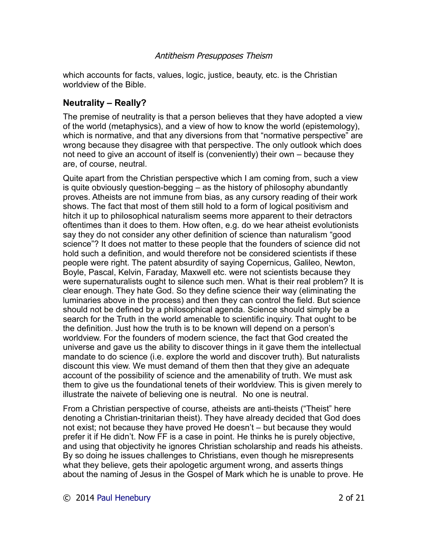which accounts for facts, values, logic, justice, beauty, etc. is the Christian worldview of the Bible.

## **Neutrality – Really?**

The premise of neutrality is that a person believes that they have adopted a view of the world (metaphysics), and a view of how to know the world (epistemology), which is normative, and that any diversions from that "normative perspective" are wrong because they disagree with that perspective. The only outlook which does not need to give an account of itself is (conveniently) their own – because they are, of course, neutral.

Quite apart from the Christian perspective which I am coming from, such a view is quite obviously question-begging – as the history of philosophy abundantly proves. Atheists are not immune from bias, as any cursory reading of their work shows. The fact that most of them still hold to a form of logical positivism and hitch it up to philosophical naturalism seems more apparent to their detractors oftentimes than it does to them. How often, e.g. do we hear atheist evolutionists say they do not consider any other definition of science than naturalism "good science"? It does not matter to these people that the founders of science did not hold such a definition, and would therefore not be considered scientists if these people were right. The patent absurdity of saying Copernicus, Galileo, Newton, Boyle, Pascal, Kelvin, Faraday, Maxwell etc. were not scientists because they were supernaturalists ought to silence such men. What is their real problem? It is clear enough. They hate God. So they define science their way (eliminating the luminaries above in the process) and then they can control the field. But science should not be defined by a philosophical agenda. Science should simply be a search for the Truth in the world amenable to scientific inquiry. That ought to be the definition. Just how the truth is to be known will depend on a person's worldview. For the founders of modern science, the fact that God created the universe and gave us the ability to discover things in it gave them the intellectual mandate to do science (i.e. explore the world and discover truth). But naturalists discount this view. We must demand of them then that they give an adequate account of the possibility of science and the amenability of truth. We must ask them to give us the foundational tenets of their worldview. This is given merely to illustrate the naivete of believing one is neutral. No one is neutral.

From a Christian perspective of course, atheists are anti-theists ("Theist" here denoting a Christian-trinitarian theist). They have already decided that God does not exist; not because they have proved He doesn't – but because they would prefer it if He didn't. Now FF is a case in point. He thinks he is purely objective, and using that objectivity he ignores Christian scholarship and reads his atheists. By so doing he issues challenges to Christians, even though he misrepresents what they believe, gets their apologetic argument wrong, and asserts things about the naming of Jesus in the Gospel of Mark which he is unable to prove. He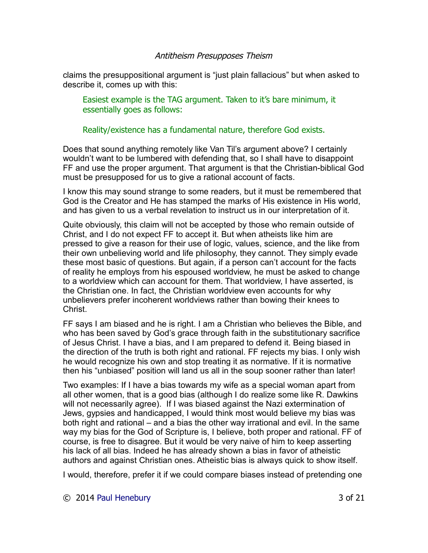claims the presuppositional argument is "just plain fallacious" but when asked to describe it, comes up with this:

Easiest example is the TAG argument. Taken to it's bare minimum, it essentially goes as follows:

Reality/existence has a fundamental nature, therefore God exists.

Does that sound anything remotely like Van Til's argument above? I certainly wouldn't want to be lumbered with defending that, so I shall have to disappoint FF and use the proper argument. That argument is that the Christian-biblical God must be presupposed for us to give a rational account of facts.

I know this may sound strange to some readers, but it must be remembered that God is the Creator and He has stamped the marks of His existence in His world, and has given to us a verbal revelation to instruct us in our interpretation of it.

Quite obviously, this claim will not be accepted by those who remain outside of Christ, and I do not expect FF to accept it. But when atheists like him are pressed to give a reason for their use of logic, values, science, and the like from their own unbelieving world and life philosophy, they cannot. They simply evade these most basic of questions. But again, if a person can't account for the facts of reality he employs from his espoused worldview, he must be asked to change to a worldview which can account for them. That worldview, I have asserted, is the Christian one. In fact, the Christian worldview even accounts for why unbelievers prefer incoherent worldviews rather than bowing their knees to **Christ** 

FF says I am biased and he is right. I am a Christian who believes the Bible, and who has been saved by God's grace through faith in the substitutionary sacrifice of Jesus Christ. I have a bias, and I am prepared to defend it. Being biased in the direction of the truth is both right and rational. FF rejects my bias. I only wish he would recognize his own and stop treating it as normative. If it is normative then his "unbiased" position will land us all in the soup sooner rather than later!

Two examples: If I have a bias towards my wife as a special woman apart from all other women, that is a good bias (although I do realize some like R. Dawkins will not necessarily agree). If I was biased against the Nazi extermination of Jews, gypsies and handicapped, I would think most would believe my bias was both right and rational – and a bias the other way irrational and evil. In the same way my bias for the God of Scripture is, I believe, both proper and rational. FF of course, is free to disagree. But it would be very naive of him to keep asserting his lack of all bias. Indeed he has already shown a bias in favor of atheistic authors and against Christian ones. Atheistic bias is always quick to show itself.

I would, therefore, prefer it if we could compare biases instead of pretending one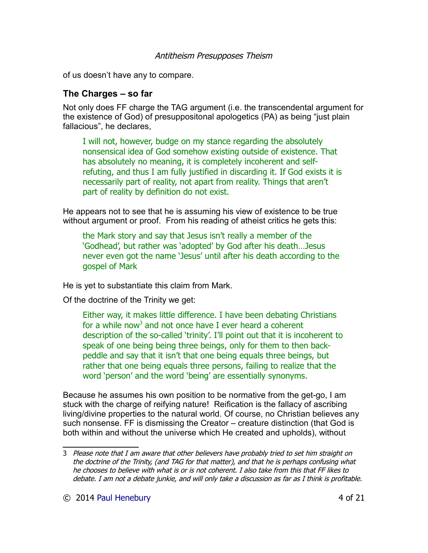of us doesn't have any to compare.

## **The Charges – so far**

Not only does FF charge the TAG argument (i.e. the transcendental argument for the existence of God) of presuppositonal apologetics (PA) as being "just plain fallacious", he declares,

I will not, however, budge on my stance regarding the absolutely nonsensical idea of God somehow existing outside of existence. That has absolutely no meaning, it is completely incoherent and selfrefuting, and thus I am fully justified in discarding it. If God exists it is necessarily part of reality, not apart from reality. Things that aren't part of reality by definition do not exist.

He appears not to see that he is assuming his view of existence to be true without argument or proof. From his reading of atheist critics he gets this:

the Mark story and say that Jesus isn't really a member of the 'Godhead', but rather was 'adopted' by God after his death…Jesus never even got the name 'Jesus' until after his death according to the gospel of Mark

He is yet to substantiate this claim from Mark.

Of the doctrine of the Trinity we get:

Either way, it makes little difference. I have been debating Christians for a while now<sup>[3](#page-3-0)</sup> and not once have I ever heard a coherent description of the so-called 'trinity'. I'll point out that it is incoherent to speak of one being being three beings, only for them to then backpeddle and say that it isn't that one being equals three beings, but rather that one being equals three persons, failing to realize that the word 'person' and the word 'being' are essentially synonyms.

Because he assumes his own position to be normative from the get-go, I am stuck with the charge of reifying nature! Reification is the fallacy of ascribing living/divine properties to the natural world. Of course, no Christian believes any such nonsense. FF is dismissing the Creator – creature distinction (that God is both within and without the universe which He created and upholds), without

<span id="page-3-0"></span><sup>3</sup> Please note that I am aware that other believers have probably tried to set him straight on the doctrine of the Trinity, (and TAG for that matter), and that he is perhaps confusing what he chooses to believe with what is or is not coherent. I also take from this that FF likes to debate. I am not a debate junkie, and will only take a discussion as far as I think is profitable.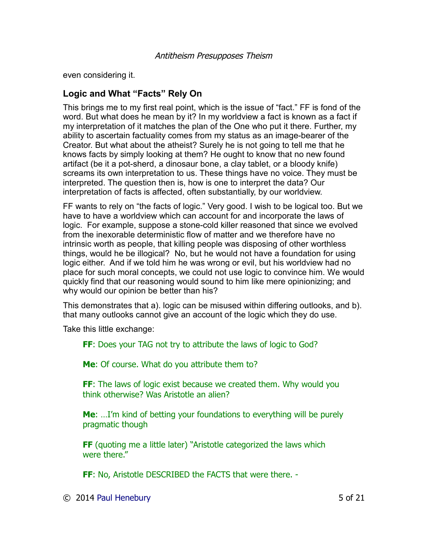even considering it.

# **Logic and What "Facts" Rely On**

This brings me to my first real point, which is the issue of "fact." FF is fond of the word. But what does he mean by it? In my worldview a fact is known as a fact if my interpretation of it matches the plan of the One who put it there. Further, my ability to ascertain factuality comes from my status as an image-bearer of the Creator. But what about the atheist? Surely he is not going to tell me that he knows facts by simply looking at them? He ought to know that no new found artifact (be it a pot-sherd, a dinosaur bone, a clay tablet, or a bloody knife) screams its own interpretation to us. These things have no voice. They must be interpreted. The question then is, how is one to interpret the data? Our interpretation of facts is affected, often substantially, by our worldview.

FF wants to rely on "the facts of logic." Very good. I wish to be logical too. But we have to have a worldview which can account for and incorporate the laws of logic. For example, suppose a stone-cold killer reasoned that since we evolved from the inexorable deterministic flow of matter and we therefore have no intrinsic worth as people, that killing people was disposing of other worthless things, would he be illogical? No, but he would not have a foundation for using logic either. And if we told him he was wrong or evil, but his worldview had no place for such moral concepts, we could not use logic to convince him. We would quickly find that our reasoning would sound to him like mere opinionizing; and why would our opinion be better than his?

This demonstrates that a). logic can be misused within differing outlooks, and b). that many outlooks cannot give an account of the logic which they do use.

Take this little exchange:

**FF**: Does your TAG not try to attribute the laws of logic to God?

**Me**: Of course. What do you attribute them to?

**FF**: The laws of logic exist because we created them. Why would you think otherwise? Was Aristotle an alien?

**Me**: …I'm kind of betting your foundations to everything will be purely pragmatic though

**FF** (quoting me a little later) "Aristotle categorized the laws which were there."

**FF**: No, Aristotle DESCRIBED the FACTS that were there. -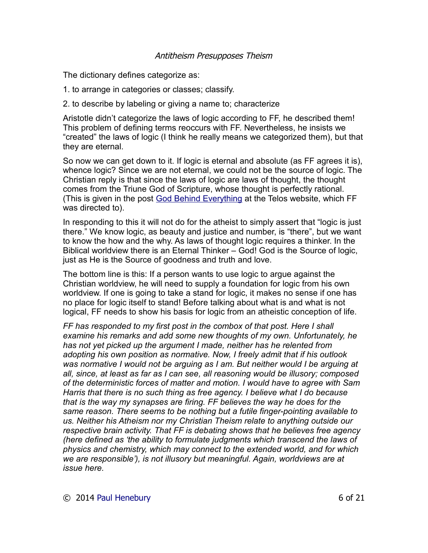The dictionary defines categorize as:

- 1. to arrange in categories or classes; classify.
- 2. to describe by labeling or giving a name to; characterize

Aristotle didn't categorize the laws of logic according to FF, he described them! This problem of defining terms reoccurs with FF. Nevertheless, he insists we "created" the laws of logic (I think he really means we categorized them), but that they are eternal.

So now we can get down to it. If logic is eternal and absolute (as FF agrees it is), whence logic? Since we are not eternal, we could not be the source of logic. The Christian reply is that since the laws of logic are laws of thought, the thought comes from the Triune God of Scripture, whose thought is perfectly rational. (This is given in the post [God Behind Everything](http://www.telosministries.com/god-behind-everything/) at the Telos website, which FF was directed to).

In responding to this it will not do for the atheist to simply assert that "logic is just there." We know logic, as beauty and justice and number, is "there", but we want to know the how and the why. As laws of thought logic requires a thinker. In the Biblical worldview there is an Eternal Thinker – God! God is the Source of logic, just as He is the Source of goodness and truth and love.

The bottom line is this: If a person wants to use logic to argue against the Christian worldview, he will need to supply a foundation for logic from his own worldview. If one is going to take a stand for logic, it makes no sense if one has no place for logic itself to stand! Before talking about what is and what is not logical, FF needs to show his basis for logic from an atheistic conception of life.

*FF has responded to my first post in the combox of that post. Here I shall examine his remarks and add some new thoughts of my own. Unfortunately, he has not yet picked up the argument I made, neither has he relented from adopting his own position as normative. Now, I freely admit that if his outlook was normative I would not be arguing as I am. But neither would I be arguing at all, since, at least as far as I can see, all reasoning would be illusory; composed of the deterministic forces of matter and motion. I would have to agree with Sam Harris that there is no such thing as free agency. I believe what I do because that is the way my synapses are firing. FF believes the way he does for the same reason. There seems to be nothing but a futile finger-pointing available to us. Neither his Atheism nor my Christian Theism relate to anything outside our respective brain activity. That FF is debating shows that he believes free agency (here defined as 'the ability to formulate judgments which transcend the laws of physics and chemistry, which may connect to the extended world, and for which we are responsible'), is not illusory but meaningful. Again, worldviews are at issue here.*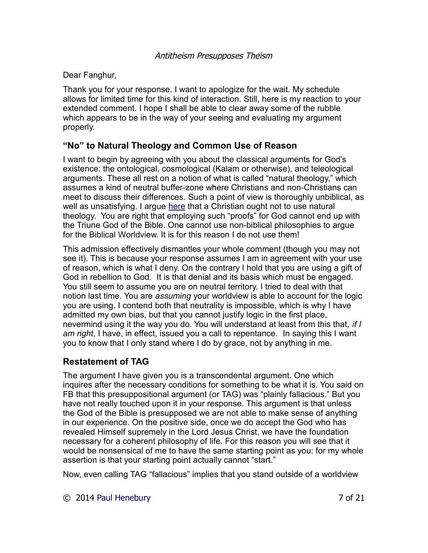#### Dear Fanghur,

Thank you for your response. I want to apologize for the wait. My schedule allows for limited time for this kind of interaction. Still, here is my reaction to your extended comment. I hope I shall be able to clear away some of the rubble which appears to be in the way of your seeing and evaluating my argument properly.

# **"No" to Natural Theology and Common Use of Reason**

I want to begin by agreeing with you about the classical arguments for God's existence: the ontological, cosmological (Kalam or otherwise), and teleological arguments. These all rest on a notion of what is called "natural theology," which assumes a kind of neutral buffer-zone where Christians and non-Christians can meet to discuss their differences. Such a point of view is thoroughly unbiblical, as well as unsatisfying. I argue [here](http://drreluctant.wordpress.com/2010/01/27/natural-theology-an-evangelical-faux-pas/) that a Christian ought not to use natural theology. You are right that employing such "proofs" for God cannot end up with the Triune God of the Bible. One cannot use non-biblical philosophies to argue for the Biblical Worldview. It is for this reason I do not use them!

This admission effectively dismantles your whole comment (though you may not see it). This is because your response assumes I am in agreement with your use of reason, which is what I deny. On the contrary I hold that you are using a gift of God in rebellion to God. It is that denial and its basis which must be engaged. You still seem to assume you are on neutral territory. I tried to deal with that notion last time. You are *assuming* your worldview is able to account for the logic you are using. I contend both that neutrality is impossible, which is why I have admitted my own bias, but that you cannot justify logic in the first place, nevermind using it the way you do. You will understand at least from this that, *if I am right*, I have, in effect, issued you a call to repentance. In saying this I want you to know that I only stand where I do by grace, not by anything in me.

## **Restatement of TAG**

The argument I have given you is a transcendental argument. One which inquires after the necessary conditions for something to be what it is. You said on FB that this presuppositional argument (or TAG) was "plainly fallacious." But you have not really touched upon it in your response. This argument is that unless the God of the Bible is presupposed we are not able to make sense of anything in our experience. On the positive side, once we do accept the God who has revealed Himself supremely in the Lord Jesus Christ, we have the foundation necessary for a coherent philosophy of life. For this reason you will see that it would be nonsensical of me to have the same starting point as you: for my whole assertion is that your starting point actually cannot "start."

Now, even calling TAG "fallacious" implies that you stand outside of a worldview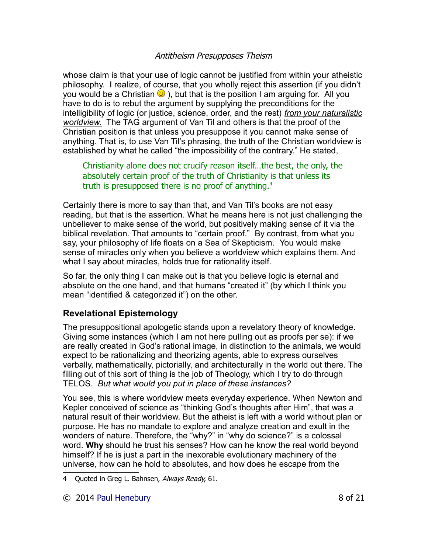whose claim is that your use of logic cannot be justified from within your atheistic philosophy. I realize, of course, that you wholly reject this assertion (if you didn't you would be a Christian  $\ddot{\mathbf{v}}$ ), but that is the position I am arguing for. All you have to do is to rebut the argument by supplying the preconditions for the intelligibility of logic (or justice, science, order, and the rest) *from your naturalistic worldview.* The TAG argument of Van Til and others is that the proof of the Christian position is that unless you presuppose it you cannot make sense of anything. That is, to use Van Til's phrasing, the truth of the Christian worldview is established by what he called "the impossibility of the contrary." He stated,

Christianity alone does not crucify reason itself…the best, the only, the absolutely certain proof of the truth of Christianity is that unless its truth is presupposed there is no proof of anything. $4$ 

Certainly there is more to say than that, and Van Til's books are not easy reading, but that is the assertion. What he means here is not just challenging the unbeliever to make sense of the world, but positively making sense of it via the biblical revelation. That amounts to "certain proof." By contrast, from what you say, your philosophy of life floats on a Sea of Skepticism. You would make sense of miracles only when you believe a worldview which explains them. And what I say about miracles, holds true for rationality itself.

So far, the only thing I can make out is that you believe logic is eternal and absolute on the one hand, and that humans "created it" (by which I think you mean "identified & categorized it") on the other.

# **Revelational Epistemology**

The presuppositional apologetic stands upon a revelatory theory of knowledge. Giving some instances (which I am not here pulling out as proofs per se): if we are really created in God's rational image, in distinction to the animals, we would expect to be rationalizing and theorizing agents, able to express ourselves verbally, mathematically, pictorially, and architecturally in the world out there. The filling out of this sort of thing is the job of Theology, which I try to do through TELOS. *But what would you put in place of these instances?*

You see, this is where worldview meets everyday experience. When Newton and Kepler conceived of science as "thinking God's thoughts after Him", that was a natural result of their worldview. But the atheist is left with a world without plan or purpose. He has no mandate to explore and analyze creation and exult in the wonders of nature. Therefore, the "why?" in "why do science?" is a colossal word. **Why** should he trust his senses? How can he know the real world beyond himself? If he is just a part in the inexorable evolutionary machinery of the universe, how can he hold to absolutes, and how does he escape from the

<span id="page-7-0"></span><sup>4</sup> Quoted in Greg L. Bahnsen, Always Ready, 61.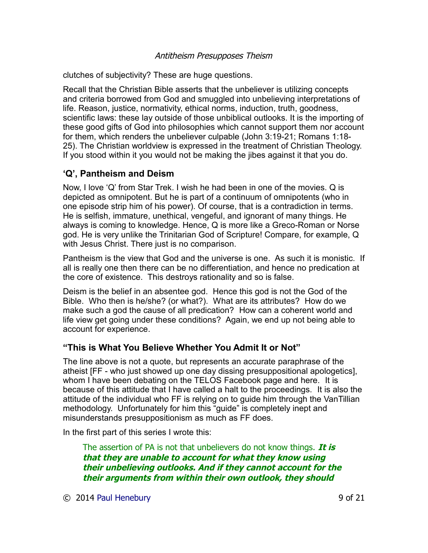clutches of subjectivity? These are huge questions.

Recall that the Christian Bible asserts that the unbeliever is utilizing concepts and criteria borrowed from God and smuggled into unbelieving interpretations of life. Reason, justice, normativity, ethical norms, induction, truth, goodness, scientific laws: these lay outside of those unbiblical outlooks. It is the importing of these good gifts of God into philosophies which cannot support them nor account for them, which renders the unbeliever culpable (John 3:19-21; Romans 1:18- 25). The Christian worldview is expressed in the treatment of Christian Theology. If you stood within it you would not be making the jibes against it that you do.

## **'Q', Pantheism and Deism**

Now, I love 'Q' from Star Trek. I wish he had been in one of the movies. Q is depicted as omnipotent. But he is part of a continuum of omnipotents (who in one episode strip him of his power). Of course, that is a contradiction in terms. He is selfish, immature, unethical, vengeful, and ignorant of many things. He always is coming to knowledge. Hence, Q is more like a Greco-Roman or Norse god. He is very unlike the Trinitarian God of Scripture! Compare, for example, Q with Jesus Christ. There just is no comparison.

Pantheism is the view that God and the universe is one. As such it is monistic. If all is really one then there can be no differentiation, and hence no predication at the core of existence. This destroys rationality and so is false.

Deism is the belief in an absentee god. Hence this god is not the God of the Bible. Who then is he/she? (or what?). What are its attributes? How do we make such a god the cause of all predication? How can a coherent world and life view get going under these conditions? Again, we end up not being able to account for experience.

## **"This is What You Believe Whether You Admit It or Not"**

The line above is not a quote, but represents an accurate paraphrase of the atheist [FF - who just showed up one day dissing presuppositional apologetics], whom I have been debating on the TELOS Facebook page and here. It is because of this attitude that I have called a halt to the proceedings. It is also the attitude of the individual who FF is relying on to guide him through the VanTillian methodology. Unfortunately for him this "guide" is completely inept and misunderstands presuppositionism as much as FF does.

In the first part of this series I wrote this:

The assertion of PA is not that unbelievers do not know things. **It is that they are unable to account for what they know using their unbelieving outlooks. And if they cannot account for the their arguments from within their own outlook, they should** 

© 2014 [Paul Henebury](http://www.spiritandtruth.org/id/ph.htm) 9 of 21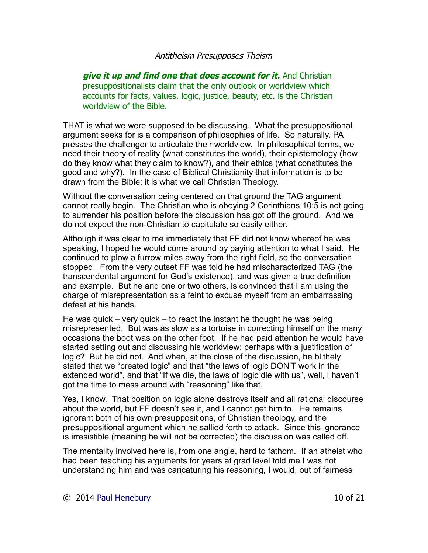**give it up and find one that does account for it.** And Christian presuppositionalists claim that the only outlook or worldview which accounts for facts, values, logic, justice, beauty, etc. is the Christian worldview of the Bible.

THAT is what we were supposed to be discussing. What the presuppositional argument seeks for is a comparison of philosophies of life. So naturally, PA presses the challenger to articulate their worldview. In philosophical terms, we need their theory of reality (what constitutes the world), their epistemology (how do they know what they claim to know?), and their ethics (what constitutes the good and why?). In the case of Biblical Christianity that information is to be drawn from the Bible: it is what we call Christian Theology.

Without the conversation being centered on that ground the TAG argument cannot really begin. The Christian who is obeying 2 Corinthians 10:5 is not going to surrender his position before the discussion has got off the ground. And we do not expect the non-Christian to capitulate so easily either.

Although it was clear to me immediately that FF did not know whereof he was speaking, I hoped he would come around by paying attention to what I said. He continued to plow a furrow miles away from the right field, so the conversation stopped. From the very outset FF was told he had mischaracterized TAG (the transcendental argument for God's existence), and was given a true definition and example. But he and one or two others, is convinced that I am using the charge of misrepresentation as a feint to excuse myself from an embarrassing defeat at his hands.

He was quick – very quick – to react the instant he thought he was being misrepresented. But was as slow as a tortoise in correcting himself on the many occasions the boot was on the other foot. If he had paid attention he would have started setting out and discussing his worldview; perhaps with a justification of logic? But he did not. And when, at the close of the discussion, he blithely stated that we "created logic" and that "the laws of logic DON'T work in the extended world", and that "If we die, the laws of logic die with us", well, I haven't got the time to mess around with "reasoning" like that.

Yes, I know. That position on logic alone destroys itself and all rational discourse about the world, but FF doesn't see it, and I cannot get him to. He remains ignorant both of his own presuppositions, of Christian theology, and the presuppositional argument which he sallied forth to attack. Since this ignorance is irresistible (meaning he will not be corrected) the discussion was called off.

The mentality involved here is, from one angle, hard to fathom. If an atheist who had been teaching his arguments for years at grad level told me I was not understanding him and was caricaturing his reasoning, I would, out of fairness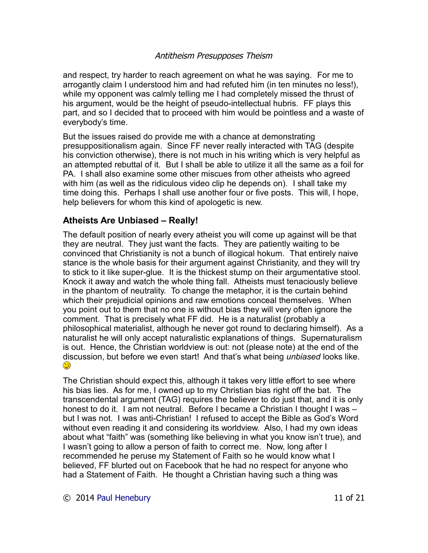and respect, try harder to reach agreement on what he was saying. For me to arrogantly claim I understood him and had refuted him (in ten minutes no less!), while my opponent was calmly telling me I had completely missed the thrust of his argument, would be the height of pseudo-intellectual hubris. FF plays this part, and so I decided that to proceed with him would be pointless and a waste of everybody's time.

But the issues raised do provide me with a chance at demonstrating presuppositionalism again. Since FF never really interacted with TAG (despite his conviction otherwise), there is not much in his writing which is very helpful as an attempted rebuttal of it. But I shall be able to utilize it all the same as a foil for PA. I shall also examine some other miscues from other atheists who agreed with him (as well as the ridiculous video clip he depends on). I shall take my time doing this. Perhaps I shall use another four or five posts. This will, I hope, help believers for whom this kind of apologetic is new.

# **Atheists Are Unbiased – Really!**

The default position of nearly every atheist you will come up against will be that they are neutral. They just want the facts. They are patiently waiting to be convinced that Christianity is not a bunch of illogical hokum. That entirely naive stance is the whole basis for their argument against Christianity, and they will try to stick to it like super-glue. It is the thickest stump on their argumentative stool. Knock it away and watch the whole thing fall. Atheists must tenaciously believe in the phantom of neutrality. To change the metaphor, it is the curtain behind which their prejudicial opinions and raw emotions conceal themselves. When you point out to them that no one is without bias they will very often ignore the comment. That is precisely what FF did. He is a naturalist (probably a philosophical materialist, although he never got round to declaring himself). As a naturalist he will only accept naturalistic explanations of things. Supernaturalism is out. Hence, the Christian worldview is out: not (please note) at the end of the discussion, but before we even start! And that's what being *unbiased* looks like. 0

The Christian should expect this, although it takes very little effort to see where his bias lies. As for me, I owned up to my Christian bias right off the bat. The transcendental argument (TAG) requires the believer to do just that, and it is only honest to do it. I am not neutral. Before I became a Christian I thought I was – but I was not. I was anti-Christian! I refused to accept the Bible as God's Word without even reading it and considering its worldview. Also, I had my own ideas about what "faith" was (something like believing in what you know isn't true), and I wasn't going to allow a person of faith to correct me. Now, long after I recommended he peruse my Statement of Faith so he would know what I believed, FF blurted out on Facebook that he had no respect for anyone who had a Statement of Faith. He thought a Christian having such a thing was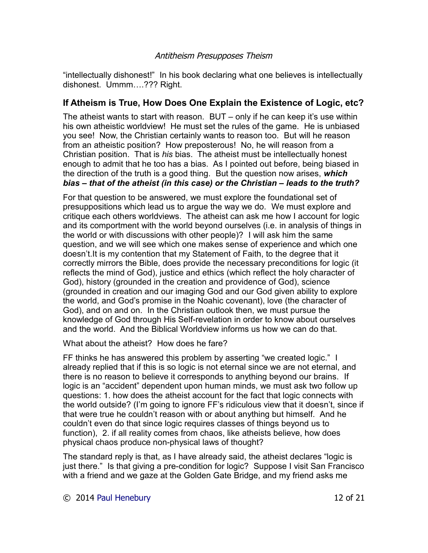"intellectually dishonest!" In his book declaring what one believes is intellectually dishonest. Ummm….??? Right.

# **If Atheism is True, How Does One Explain the Existence of Logic, etc?**

The atheist wants to start with reason. BUT – only if he can keep it's use within his own atheistic worldview! He must set the rules of the game. He is unbiased you see! Now, the Christian certainly wants to reason too. But will he reason from an atheistic position? How preposterous! No, he will reason from a Christian position. That is *his* bias. The atheist must be intellectually honest enough to admit that he too has a bias. As I pointed out before, being biased in the direction of the truth is a good thing. But the question now arises, *which bias – that of the atheist (in this case) or the Christian – leads to the truth?*

For that question to be answered, we must explore the foundational set of presuppositions which lead us to argue the way we do. We must explore and critique each others worldviews. The atheist can ask me how I account for logic and its comportment with the world beyond ourselves (i.e. in analysis of things in the world or with discussions with other people)? I will ask him the same question, and we will see which one makes sense of experience and which one doesn't.It is my contention that my Statement of Faith, to the degree that it correctly mirrors the Bible, does provide the necessary preconditions for logic (it reflects the mind of God), justice and ethics (which reflect the holy character of God), history (grounded in the creation and providence of God), science (grounded in creation and our imaging God and our God given ability to explore the world, and God's promise in the Noahic covenant), love (the character of God), and on and on. In the Christian outlook then, we must pursue the knowledge of God through His Self-revelation in order to know about ourselves and the world. And the Biblical Worldview informs us how we can do that.

What about the atheist? How does he fare?

FF thinks he has answered this problem by asserting "we created logic." I already replied that if this is so logic is not eternal since we are not eternal, and there is no reason to believe it corresponds to anything beyond our brains. If logic is an "accident" dependent upon human minds, we must ask two follow up questions: 1. how does the atheist account for the fact that logic connects with the world outside? (I'm going to ignore FF's ridiculous view that it doesn't, since if that were true he couldn't reason with or about anything but himself. And he couldn't even do that since logic requires classes of things beyond us to function), 2. if all reality comes from chaos, like atheists believe, how does physical chaos produce non-physical laws of thought?

The standard reply is that, as I have already said, the atheist declares "logic is just there." Is that giving a pre-condition for logic? Suppose I visit San Francisco with a friend and we gaze at the Golden Gate Bridge, and my friend asks me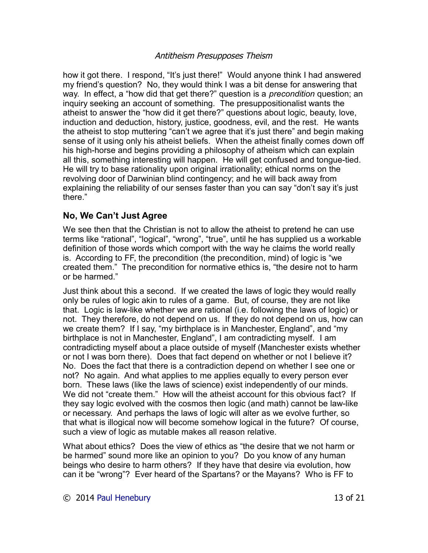how it got there. I respond, "It's just there!" Would anyone think I had answered my friend's question? No, they would think I was a bit dense for answering that way. In effect, a "how did that get there?" question is a *precondition* question; an inquiry seeking an account of something. The presuppositionalist wants the atheist to answer the "how did it get there?" questions about logic, beauty, love, induction and deduction, history, justice, goodness, evil, and the rest. He wants the atheist to stop muttering "can't we agree that it's just there" and begin making sense of it using only his atheist beliefs. When the atheist finally comes down off his high-horse and begins providing a philosophy of atheism which can explain all this, something interesting will happen. He will get confused and tongue-tied. He will try to base rationality upon original irrationality; ethical norms on the revolving door of Darwinian blind contingency; and he will back away from explaining the reliability of our senses faster than you can say "don't say it's just there."

# **No, We Can't Just Agree**

We see then that the Christian is not to allow the atheist to pretend he can use terms like "rational", "logical", "wrong", "true", until he has supplied us a workable definition of those words which comport with the way he claims the world really is. According to FF, the precondition (the precondition, mind) of logic is "we created them." The precondition for normative ethics is, "the desire not to harm or be harmed."

Just think about this a second. If we created the laws of logic they would really only be rules of logic akin to rules of a game. But, of course, they are not like that. Logic is law-like whether we are rational (i.e. following the laws of logic) or not. They therefore, do not depend on us. If they do not depend on us, how can we create them? If I say, "my birthplace is in Manchester, England", and "my birthplace is not in Manchester, England", I am contradicting myself. I am contradicting myself about a place outside of myself (Manchester exists whether or not I was born there). Does that fact depend on whether or not I believe it? No. Does the fact that there is a contradiction depend on whether I see one or not? No again. And what applies to me applies equally to every person ever born. These laws (like the laws of science) exist independently of our minds. We did not "create them." How will the atheist account for this obvious fact? If they say logic evolved with the cosmos then logic (and math) cannot be law-like or necessary. And perhaps the laws of logic will alter as we evolve further, so that what is illogical now will become somehow logical in the future? Of course, such a view of logic as mutable makes all reason relative.

What about ethics? Does the view of ethics as "the desire that we not harm or be harmed" sound more like an opinion to you? Do you know of any human beings who desire to harm others? If they have that desire via evolution, how can it be "wrong"? Ever heard of the Spartans? or the Mayans? Who is FF to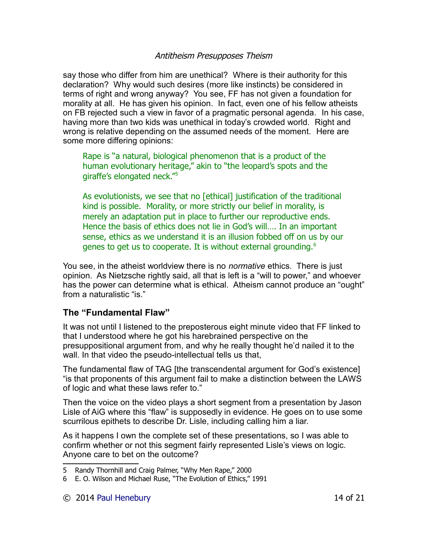say those who differ from him are unethical? Where is their authority for this declaration? Why would such desires (more like instincts) be considered in terms of right and wrong anyway? You see, FF has not given a foundation for morality at all. He has given his opinion. In fact, even one of his fellow atheists on FB rejected such a view in favor of a pragmatic personal agenda. In his case, having more than two kids was unethical in today's crowded world. Right and wrong is relative depending on the assumed needs of the moment. Here are some more differing opinions:

Rape is "a natural, biological phenomenon that is a product of the human evolutionary heritage," akin to "the leopard's spots and the giraffe's elongated neck."[5](#page-13-0)

As evolutionists, we see that no [ethical] justification of the traditional kind is possible. Morality, or more strictly our belief in morality, is merely an adaptation put in place to further our reproductive ends. Hence the basis of ethics does not lie in God's will…. In an important sense, ethics as we understand it is an illusion fobbed off on us by our genes to get us to cooperate. It is without external grounding.<sup>[6](#page-13-1)</sup>

You see, in the atheist worldview there is no *normative* ethics. There is just opinion. As Nietzsche rightly said, all that is left is a "will to power," and whoever has the power can determine what is ethical. Atheism cannot produce an "ought" from a naturalistic "is."

## **The "Fundamental Flaw"**

It was not until I listened to the preposterous eight minute video that FF linked to that I understood where he got his harebrained perspective on the presuppositional argument from, and why he really thought he'd nailed it to the wall. In that video the pseudo-intellectual tells us that,

The fundamental flaw of TAG [the transcendental argument for God's existence] "is that proponents of this argument fail to make a distinction between the LAWS of logic and what these laws refer to."

Then the voice on the video plays a short segment from a presentation by Jason Lisle of AiG where this "flaw" is supposedly in evidence. He goes on to use some scurrilous epithets to describe Dr. Lisle, including calling him a liar.

As it happens I own the complete set of these presentations, so I was able to confirm whether or not this segment fairly represented Lisle's views on logic. Anyone care to bet on the outcome?

<span id="page-13-0"></span><sup>5</sup> Randy Thornhill and Craig Palmer, "Why Men Rape," 2000

<span id="page-13-1"></span><sup>6</sup> E. O. Wilson and Michael Ruse, "The Evolution of Ethics," 1991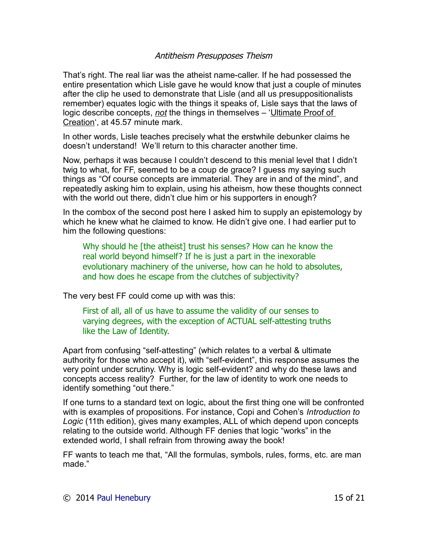That's right. The real liar was the atheist name-caller. If he had possessed the entire presentation which Lisle gave he would know that just a couple of minutes after the clip he used to demonstrate that Lisle (and all us presuppositionalists remember) equates logic with the things it speaks of, Lisle says that the laws of logic describe concepts, *not* the things in themselves – 'Ultimate Proof of Creation', at 45.57 minute mark.

In other words, Lisle teaches precisely what the erstwhile debunker claims he doesn't understand! We'll return to this character another time.

Now, perhaps it was because I couldn't descend to this menial level that I didn't twig to what, for FF, seemed to be a coup de grace? I guess my saying such things as "Of course concepts are immaterial. They are in and of the mind", and repeatedly asking him to explain, using his atheism, how these thoughts connect with the world out there, didn't clue him or his supporters in enough?

In the combox of the second post here I asked him to supply an epistemology by which he knew what he claimed to know. He didn't give one. I had earlier put to him the following questions:

Why should he [the atheist] trust his senses? How can he know the real world beyond himself? If he is just a part in the inexorable evolutionary machinery of the universe, how can he hold to absolutes, and how does he escape from the clutches of subjectivity?

The very best FF could come up with was this:

First of all, all of us have to assume the validity of our senses to varying degrees, with the exception of ACTUAL self-attesting truths like the Law of Identity.

Apart from confusing "self-attesting" (which relates to a verbal & ultimate authority for those who accept it), with "self-evident", this response assumes the very point under scrutiny. Why is logic self-evident? and why do these laws and concepts access reality? Further, for the law of identity to work one needs to identify something "out there."

If one turns to a standard text on logic, about the first thing one will be confronted with is examples of propositions. For instance, Copi and Cohen's *Introduction to Logic* (11th edition), gives many examples, ALL of which depend upon concepts relating to the outside world. Although FF denies that logic "works" in the extended world, I shall refrain from throwing away the book!

FF wants to teach me that, "All the formulas, symbols, rules, forms, etc. are man made."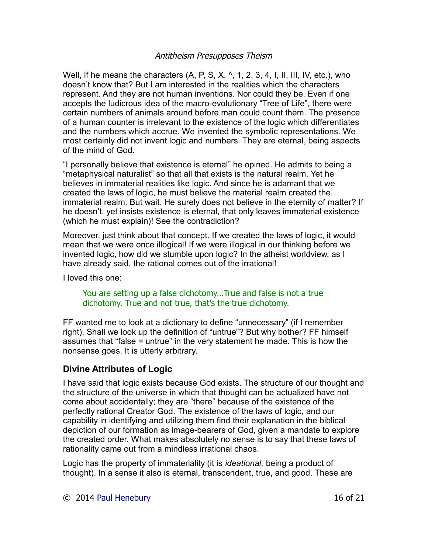Well, if he means the characters  $(A, P, S, X, \Lambda, 1, 2, 3, 4, I, II, III, IV, etc.),$  who doesn't know that? But I am interested in the realities which the characters represent. And they are not human inventions. Nor could they be. Even if one accepts the ludicrous idea of the macro-evolutionary "Tree of Life", there were certain numbers of animals around before man could count them. The presence of a human counter is irrelevant to the existence of the logic which differentiates and the numbers which accrue. We invented the symbolic representations. We most certainly did not invent logic and numbers. They are eternal, being aspects of the mind of God.

"I personally believe that existence is eternal" he opined. He admits to being a "metaphysical naturalist" so that all that exists is the natural realm. Yet he believes in immaterial realities like logic. And since he is adamant that we created the laws of logic, he must believe the material realm created the immaterial realm. But wait. He surely does not believe in the eternity of matter? If he doesn't, yet insists existence is eternal, that only leaves immaterial existence (which he must explain)! See the contradiction?

Moreover, just think about that concept. If we created the laws of logic, it would mean that we were once illogical! If we were illogical in our thinking before we invented logic, how did we stumble upon logic? In the atheist worldview, as I have already said, the rational comes out of the irrational!

I loved this one:

#### You are setting up a false dichotomy…True and false is not a true dichotomy. True and not true, that's the true dichotomy.

FF wanted me to look at a dictionary to define "unnecessary" (if I remember right). Shall we look up the definition of "untrue"? But why bother? FF himself assumes that "false = untrue" in the very statement he made. This is how the nonsense goes. It is utterly arbitrary.

## **Divine Attributes of Logic**

I have said that logic exists because God exists. The structure of our thought and the structure of the universe in which that thought can be actualized have not come about accidentally; they are "there" because of the existence of the perfectly rational Creator God. The existence of the laws of logic, and our capability in identifying and utilizing them find their explanation in the biblical depiction of our formation as image-bearers of God, given a mandate to explore the created order. What makes absolutely no sense is to say that these laws of rationality came out from a mindless irrational chaos.

Logic has the property of immateriality (it is *ideational,* being a product of thought). In a sense it also is eternal, transcendent, true, and good. These are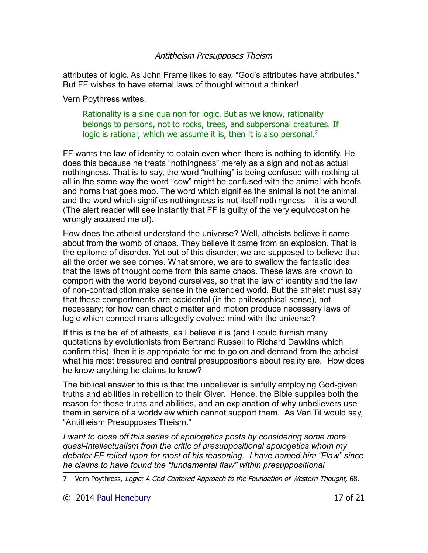attributes of logic. As John Frame likes to say, "God's attributes have attributes." But FF wishes to have eternal laws of thought without a thinker!

Vern Poythress writes,

Rationality is a sine qua non for logic. But as we know, rationality belongs to persons, not to rocks, trees, and subpersonal creatures. If logic is rational, which we assume it is, then it is also personal.<sup>[7](#page-16-0)</sup>

FF wants the law of identity to obtain even when there is nothing to identify. He does this because he treats "nothingness" merely as a sign and not as actual nothingness. That is to say, the word "nothing" is being confused with nothing at all in the same way the word "cow" might be confused with the animal with hoofs and horns that goes moo. The word which signifies the animal is not the animal, and the word which signifies nothingness is not itself nothingness – it is a word! (The alert reader will see instantly that FF is guilty of the very equivocation he wrongly accused me of).

How does the atheist understand the universe? Well, atheists believe it came about from the womb of chaos. They believe it came from an explosion. That is the epitome of disorder. Yet out of this disorder, we are supposed to believe that all the order we see comes. Whatismore, we are to swallow the fantastic idea that the laws of thought come from this same chaos. These laws are known to comport with the world beyond ourselves, so that the law of identity and the law of non-contradiction make sense in the extended world. But the atheist must say that these comportments are accidental (in the philosophical sense), not necessary; for how can chaotic matter and motion produce necessary laws of logic which connect mans allegedly evolved mind with the universe?

If this is the belief of atheists, as I believe it is (and I could furnish many quotations by evolutionists from Bertrand Russell to Richard Dawkins which confirm this), then it is appropriate for me to go on and demand from the atheist what his most treasured and central presuppositions about reality are. How does he know anything he claims to know?

The biblical answer to this is that the unbeliever is sinfully employing God-given truths and abilities in rebellion to their Giver. Hence, the Bible supplies both the reason for these truths and abilities, and an explanation of why unbelievers use them in service of a worldview which cannot support them. As Van Til would say, "Antitheism Presupposes Theism."

*I* want to close off this series of apologetics posts by considering some more *quasi-intellectualism from the critic of presuppositional apologetics whom my debater FF relied upon for most of his reasoning. I have named him "Flaw" since he claims to have found the "fundamental flaw" within presuppositional* 

<span id="page-16-0"></span><sup>7</sup> Vern Poythress, Logic: A God-Centered Approach to the Foundation of Western Thought, 68.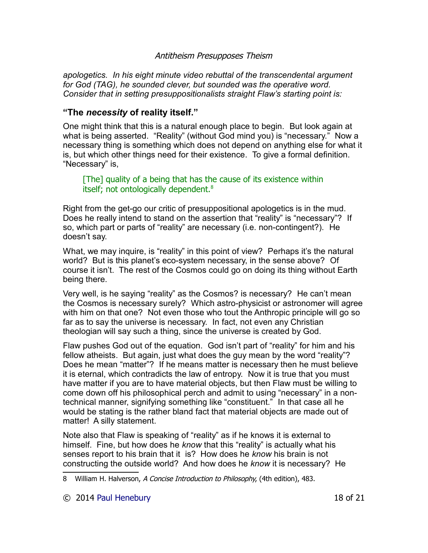*apologetics. In his eight minute video rebuttal of the transcendental argument for God (TAG), he sounded clever, but sounded was the operative word. Consider that in setting presuppositionalists straight Flaw's starting point is:*

## **"The** *necessity* **of reality itself."**

One might think that this is a natural enough place to begin. But look again at what is being asserted. "Reality" (without God mind you) is "necessary." Now a necessary thing is something which does not depend on anything else for what it is, but which other things need for their existence. To give a formal definition. "Necessary" is,

[The] quality of a being that has the cause of its existence within itself; not ontologically dependent.<sup>[8](#page-17-0)</sup>

Right from the get-go our critic of presuppositional apologetics is in the mud. Does he really intend to stand on the assertion that "reality" is "necessary"? If so, which part or parts of "reality" are necessary (i.e. non-contingent?). He doesn't say.

What, we may inquire, is "reality" in this point of view? Perhaps it's the natural world? But is this planet's eco-system necessary, in the sense above? Of course it isn't. The rest of the Cosmos could go on doing its thing without Earth being there.

Very well, is he saying "reality" as the Cosmos? is necessary? He can't mean the Cosmos is necessary surely? Which astro-physicist or astronomer will agree with him on that one? Not even those who tout the Anthropic principle will go so far as to say the universe is necessary. In fact, not even any Christian theologian will say such a thing, since the universe is created by God.

Flaw pushes God out of the equation. God isn't part of "reality" for him and his fellow atheists. But again, just what does the guy mean by the word "reality"? Does he mean "matter"? If he means matter is necessary then he must believe it is eternal, which contradicts the law of entropy. Now it is true that you must have matter if you are to have material objects, but then Flaw must be willing to come down off his philosophical perch and admit to using "necessary" in a nontechnical manner, signifying something like "constituent." In that case all he would be stating is the rather bland fact that material objects are made out of matter! A silly statement.

Note also that Flaw is speaking of "reality" as if he knows it is external to himself. Fine, but how does he *know* that this "reality" is actually what his senses report to his brain that it is? How does he *know* his brain is not constructing the outside world? And how does he *know* it is necessary? He

<span id="page-17-0"></span><sup>8</sup> William H. Halverson, A Concise Introduction to Philosophy, (4th edition), 483.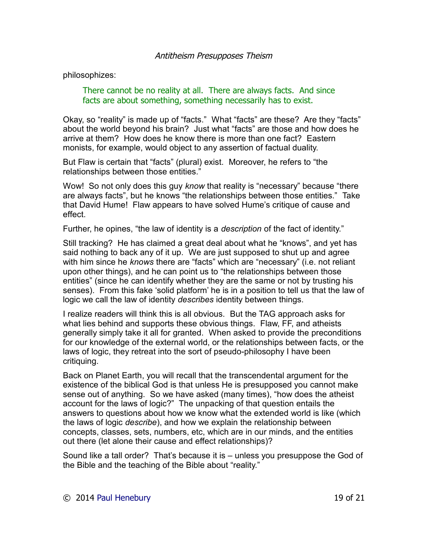philosophizes:

There cannot be no reality at all. There are always facts. And since facts are about something, something necessarily has to exist.

Okay, so "reality" is made up of "facts." What "facts" are these? Are they "facts" about the world beyond his brain? Just what "facts" are those and how does he arrive at them? How does he know there is more than one fact? Eastern monists, for example, would object to any assertion of factual duality.

But Flaw is certain that "facts" (plural) exist. Moreover, he refers to "the relationships between those entities."

Wow! So not only does this guy *know* that reality is "necessary" because "there are always facts", but he knows "the relationships between those entities." Take that David Hume! Flaw appears to have solved Hume's critique of cause and effect.

Further, he opines, "the law of identity is a *description* of the fact of identity."

Still tracking? He has claimed a great deal about what he "knows", and yet has said nothing to back any of it up. We are just supposed to shut up and agree with him since he *knows* there are "facts" which are "necessary" (i.e. not reliant upon other things), and he can point us to "the relationships between those entities" (since he can identify whether they are the same or not by trusting his senses). From this fake 'solid platform' he is in a position to tell us that the law of logic we call the law of identity *describes* identity between things.

I realize readers will think this is all obvious. But the TAG approach asks for what lies behind and supports these obvious things. Flaw, FF, and atheists generally simply take it all for granted. When asked to provide the preconditions for our knowledge of the external world, or the relationships between facts, or the laws of logic, they retreat into the sort of pseudo-philosophy I have been critiquing.

Back on Planet Earth, you will recall that the transcendental argument for the existence of the biblical God is that unless He is presupposed you cannot make sense out of anything. So we have asked (many times), "how does the atheist account for the laws of logic?" The unpacking of that question entails the answers to questions about how we know what the extended world is like (which the laws of logic *describe*), and how we explain the relationship between concepts, classes, sets, numbers, etc, which are in our minds, and the entities out there (let alone their cause and effect relationships)?

Sound like a tall order? That's because it is – unless you presuppose the God of the Bible and the teaching of the Bible about "reality."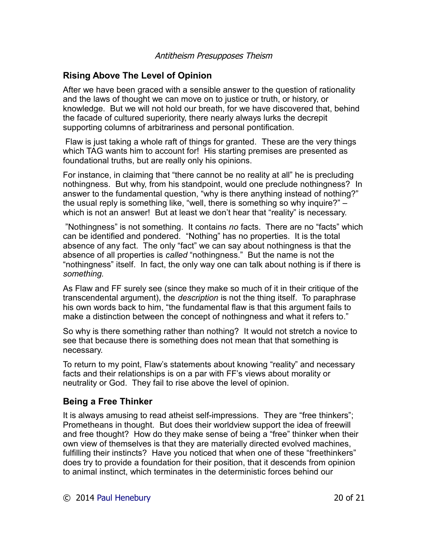# **Rising Above The Level of Opinion**

After we have been graced with a sensible answer to the question of rationality and the laws of thought we can move on to justice or truth, or history, or knowledge. But we will not hold our breath, for we have discovered that, behind the facade of cultured superiority, there nearly always lurks the decrepit supporting columns of arbitrariness and personal pontification.

Flaw is just taking a whole raft of things for granted. These are the very things which TAG wants him to account for! His starting premises are presented as foundational truths, but are really only his opinions.

For instance, in claiming that "there cannot be no reality at all" he is precluding nothingness. But why, from his standpoint, would one preclude nothingness? In answer to the fundamental question, "why is there anything instead of nothing?" the usual reply is something like, "well, there is something so why inquire?" – which is not an answer! But at least we don't hear that "reality" is necessary.

"Nothingness" is not something. It contains *no* facts. There are no "facts" which can be identified and pondered. "Nothing" has no properties. It is the total absence of any fact. The only "fact" we can say about nothingness is that the absence of all properties is *called* "nothingness." But the name is not the "nothingness" itself. In fact, the only way one can talk about nothing is if there is *something.*

As Flaw and FF surely see (since they make so much of it in their critique of the transcendental argument), the *description* is not the thing itself. To paraphrase his own words back to him, "the fundamental flaw is that this argument fails to make a distinction between the concept of nothingness and what it refers to."

So why is there something rather than nothing? It would not stretch a novice to see that because there is something does not mean that that something is necessary.

To return to my point, Flaw's statements about knowing "reality" and necessary facts and their relationships is on a par with FF's views about morality or neutrality or God. They fail to rise above the level of opinion.

# **Being a Free Thinker**

It is always amusing to read atheist self-impressions. They are "free thinkers"; Prometheans in thought. But does their worldview support the idea of freewill and free thought? How do they make sense of being a "free" thinker when their own view of themselves is that they are materially directed evolved machines, fulfilling their instincts? Have you noticed that when one of these "freethinkers" does try to provide a foundation for their position, that it descends from opinion to animal instinct, which terminates in the deterministic forces behind our